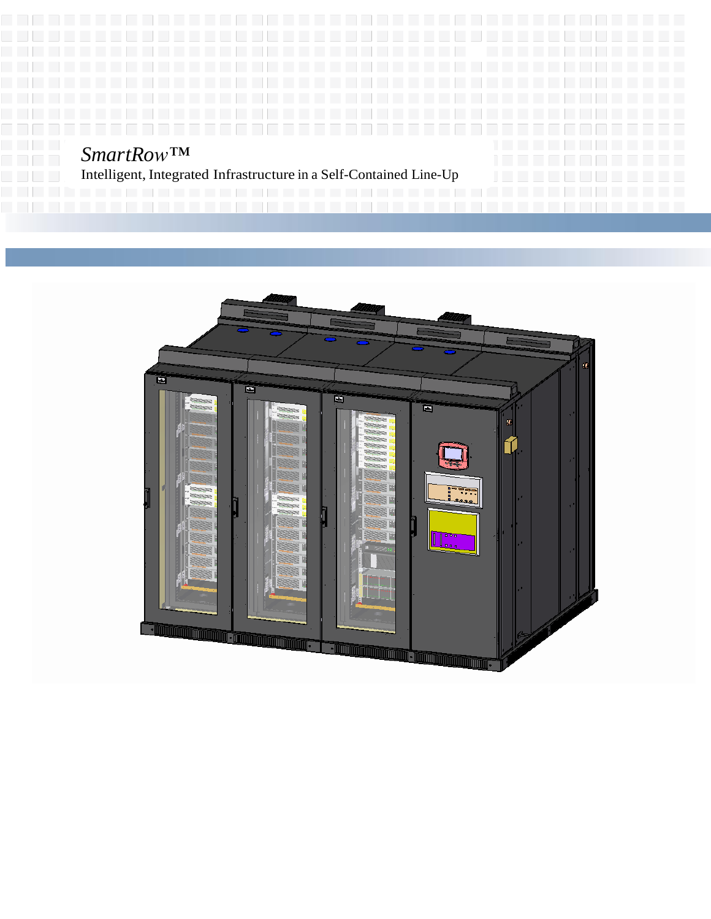# *SmartRow™*

Intelligent, Integrated Infrastructure in a Self-Contained Line-Up

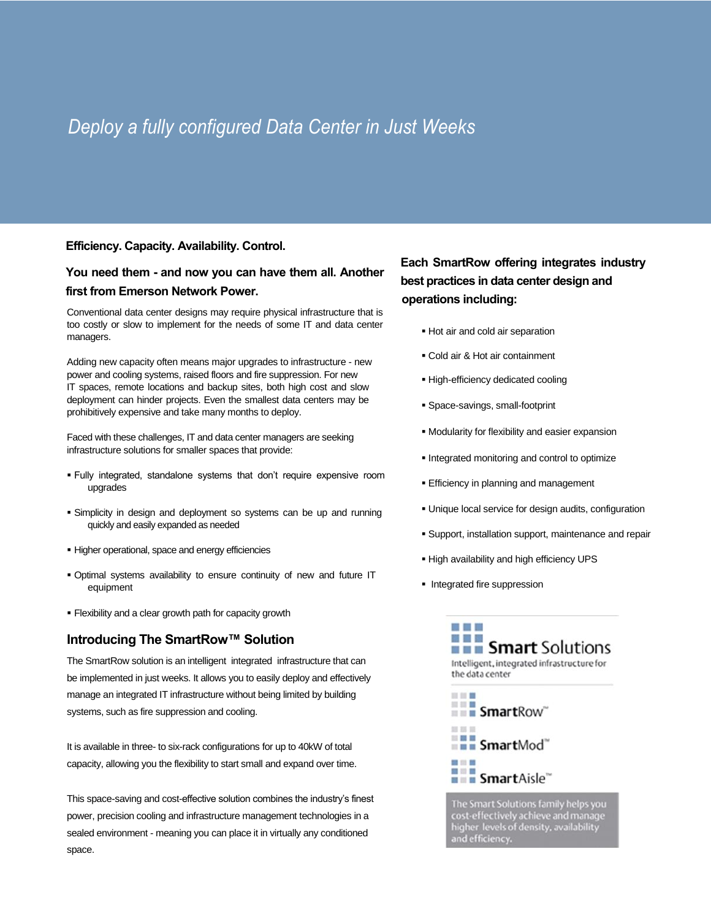## *Deploy a fully configured Data Center in Just Weeks*

#### **Efficiency. Capacity. Availability. Control.**

## **You need them - and now you can have them all. Another first from Emerson Network Power.**

Conventional data center designs may require physical infrastructure that is too costly or slow to implement for the needs of some IT and data center managers.

Adding new capacity often means major upgrades to infrastructure - new power and cooling systems, raised floors and fire suppression. For new IT spaces, remote locations and backup sites, both high cost and slow deployment can hinder projects. Even the smallest data centers may be prohibitively expensive and take many months to deploy.

Faced with these challenges, IT and data center managers are seeking infrastructure solutions for smaller spaces that provide:

- Fully integrated, standalone systems that don't require expensive room upgrades
- Simplicity in design and deployment so systems can be up and running quickly and easily expanded as needed
- Higher operational, space and energy efficiencies
- Optimal systems availability to ensure continuity of new and future IT equipment
- Flexibility and a clear growth path for capacity growth

## **Introducing The SmartRow™ Solution**

The SmartRow solution is an intelligent integrated infrastructure that can be implemented in just weeks. It allows you to easily deploy and effectively manage an integrated IT infrastructure without being limited by building systems, such as fire suppression and cooling.

It is available in three- to six-rack configurations for up to 40kW of total capacity, allowing you the flexibility to start small and expand over time.

This space-saving and cost-effective solution combines the industry's finest power, precision cooling and infrastructure management technologies in a sealed environment - meaning you can place it in virtually any conditioned space.

## **Each SmartRow offering integrates industry best practices in data center design and operations including:**

- Hot air and cold air separation
- Cold air & Hot air containment
- High-efficiency dedicated cooling
- Space-savings, small-footprint
- Modularity for flexibility and easier expansion
- **Integrated monitoring and control to optimize**
- **Efficiency in planning and management**
- Unique local service for design audits, configuration
- Support, installation support, maintenance and repair
- High availability and high efficiency UPS
- **Integrated fire suppression**



cost-effectively achieve and manage<br>higher levels of density, availability<br>and efficiency.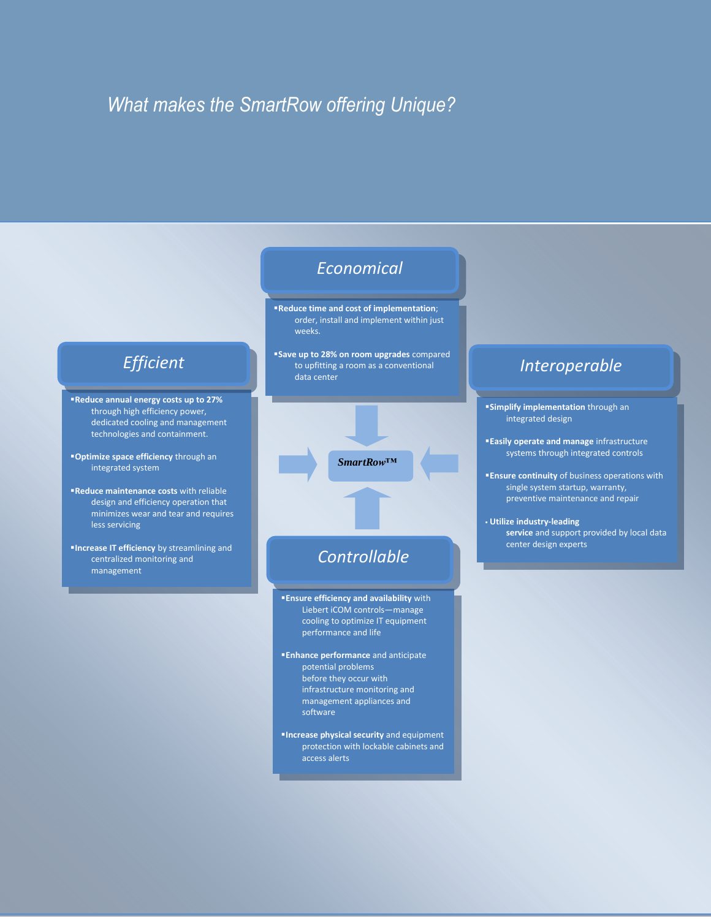## *What makes the SmartRow offering Unique?*



**Increase physical security** and equipment protection with lockable cabinets and access alerts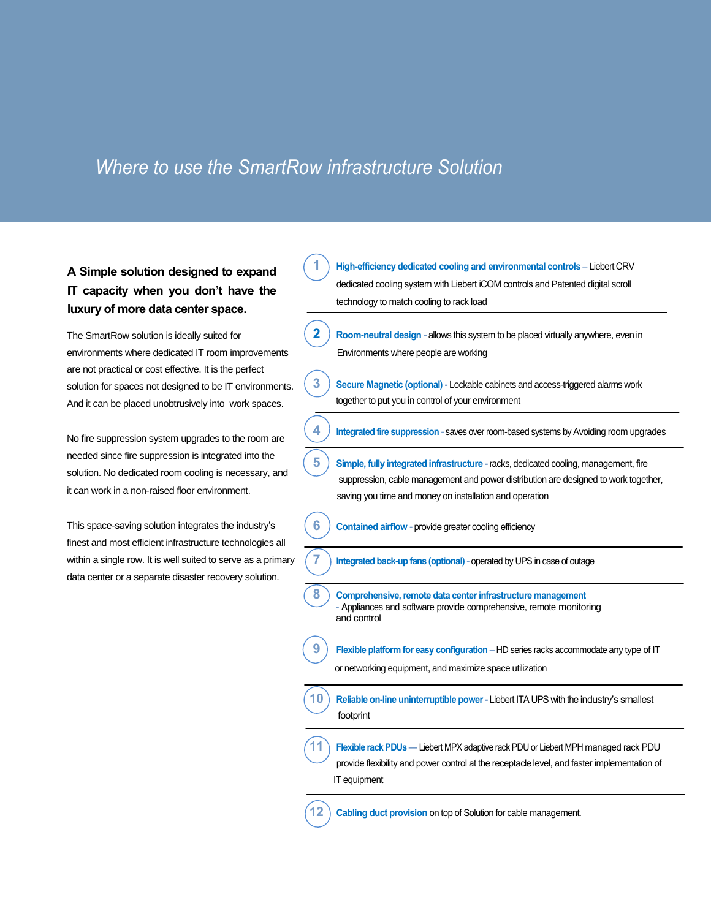## *Where to use the SmartRow infrastructure Solution*

## **A Simple solution designed to expand IT capacity when you don't have the luxury of more data center space.**

The SmartRow solution is ideally suited for environments where dedicated IT room improvements are not practical or cost effective. It is the perfect solution for spaces not designed to be IT environments. And it can be placed unobtrusively into work spaces.

No fire suppression system upgrades to the room are needed since fire suppression is integrated into the solution. No dedicated room cooling is necessary, and it can work in a non-raised floor environment.

This space-saving solution integrates the industry's finest and most efficient infrastructure technologies all within a single row. It is well suited to serve as a primary data center or a separate disaster recovery solution.

**1 High-efficiency dedicated cooling and environmental controls –** Liebert CRV dedicated cooling system with Liebert iCOM controls and Patented digital scroll technology to match cooling to rack load **2 Room-neutral design -** allows this system to be placed virtually anywhere, even in Environments where people are working **3 Secure Magnetic (optional) -** Lockable cabinets and access-triggered alarms work together to put you in control of your environment **4 Integrated fire suppression -** saves over room-based systems by Avoiding room upgrades **5 Simple, fully integrated infrastructure -** racks, dedicated cooling, management, fire suppression, cable management and power distribution are designed to work together, saving you time and money on installation and operation **6 Contained airflow -** provide greater cooling efficiency **7 Integrated back-up fans (optional)-** operated by UPS in case of outage **8 Comprehensive, remote data center infrastructure management -** Appliances and software provide comprehensive, remote monitoring and control **9 Flexible platform for easy configuration –** HD series racks accommodate any type of IT or networking equipment, and maximize space utilization **10 Reliable on-line uninterruptible power-** Liebert ITA UPS with the industry's smallest footprint **11 Flexible rack PDUs —** Liebert MPX adaptive rack PDU or Liebert MPH managed rack PDU provide flexibility and power control at the receptacle level, and faster implementation of IT equipment **12 Cabling duct provision** on top of Solution for cable management.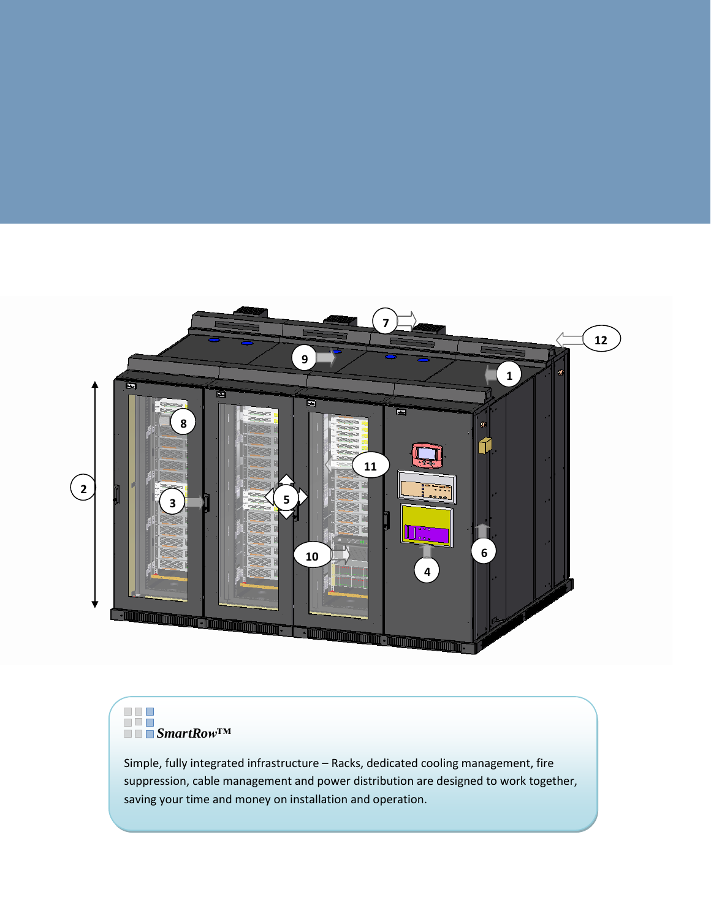

# *SmartRow™*

Simple, fully integrated infrastructure – Racks, dedicated cooling management, fire suppression, cable management and power distribution are designed to work together, saving your time and money on installation and operation.